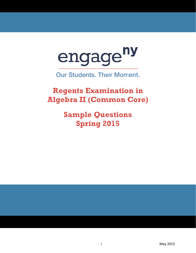

**Our Students. Their Moment.** 

**Regents Examination in Al gebr a II (C Comm mon C Core)**

> **Sample Questions Sprin ng 20 015**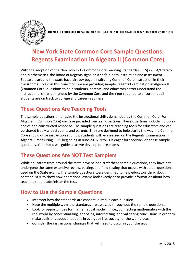

**THE STATE EDUCATION DEPARTMENT** / THE UNIVERSITY OF THE STATE OF NEW YORK / ALBANY, NY 12234

# **New York State Common Core Sample Questions: Regents Examination in Algebra II (Common Core)**

With the adoption of the New York P-12 Common Core Learning Standards (CCLS) in ELA/Literacy and Mathematics, the Board of Regents signaled a shift in both instruction and assessment. Educators around the state have already begun instituting Common Core instruction in their classrooms. To aid in this transition, we are providing sample Regents Examination in Algebra II (Common Core) questions to help students, parents, and educators better understand the instructional shifts demanded by the Common Core and the rigor required to ensure that all students are on track to college and career readiness.

# **These Questions Are Teaching Tools**

The sample questions emphasize the instructional shifts demanded by the Common Core. For Algebra II (Common Core) we have provided fourteen questions. These questions include multiplechoice and constructed response. The sample questions are teaching tools for educators and can be shared freely with students and parents. They are designed to help clarify the way the Common Core should drive instruction and how students will be assessed on the Regents Examination in Algebra II measuring CCLS beginning in June 2016. NYSED is eager for feedback on these sample questions. Your input will guide us as we develop future exams.

# **These Questions Are NOT Test Samplers**

While educators from around the state have helped craft these sample questions, they have not undergone the same extensive review, vetting, and field testing that occurs with actual questions used on the State exams. The sample questions were designed to help educators think about content, NOT to show how operational exams look exactly or to provide information about how teachers should administer the test.

# **How to Use the Sample Questions**

- Interpret how the standards are conceptualized in each question.
- Note the multiple ways the standards are assessed throughout the sample questions.
- Look for opportunities for mathematical modeling, i.e., connecting mathematics with the real world by conceptualizing, analyzing, interpreting, and validating conclusions in order to make decisions about situations in everyday life, society, or the workplace.
- Consider the instructional changes that will need to occur in your classroom.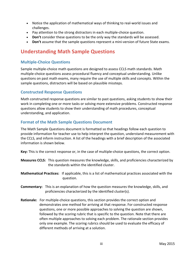- Notice the application of mathematical ways of thinking to real-world issues and challenges.
- Pay attention to the strong distractors in each multiple-choice question.
- **Don't** consider these questions to be the only way the standards will be assessed.
- **Don't** assume that the sample questions represent a mini-version of future State exams.

## **Understanding Math Sample Questions**

## **Multiple-Choice Questions**

Sample multiple-choice math questions are designed to assess CCLS math standards. Math multiple-choice questions assess procedural fluency and conceptual understanding. Unlike questions on past math exams, many require the use of multiple skills and concepts. Within the sample questions, distractors will be based on plausible missteps.

## **Constructed Response Questions**

Math constructed response questions are similar to past questions, asking students to show their work in completing one or more tasks or solving more extensive problems. Constructed response questions allow students to show their understanding of math procedures, conceptual understanding, and application.

## **Format of the Math Sample Questions Document**

The Math Sample Questions document is formatted so that headings follow each question to provide information for teacher use to help interpret the question, understand measurement with the CCLS, and inform instruction. A list of the headings with a brief description of the associated information is shown below.

**Key:** This is the correct response or, in the case of multiple-choice questions, the correct option.

- **Measures CCLS:** This question measures the knowledge, skills, and proficiencies characterized by the standards within the identified cluster.
- **Mathematical Practices:** If applicable, this is a list of mathematical practices associated with the question.
- **Commentary:** This is an explanation of how the question measures the knowledge, skills, and proficiencies characterized by the identified cluster(s).
- **Rationale:** For multiple-choice questions, this section provides the correct option and demonstrates one method for arriving at that response. For constructed response questions, one or more possible approaches to solving the question are shown, followed by the scoring rubric that is specific to the question. Note that there are often multiple approaches to solving each problem. The rationale section provides only one example. The scoring rubrics should be used to evaluate the efficacy of different methods of arriving at a solution.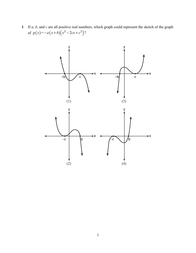If *a*, *b*, and *c* are all positive real numbers, which graph could represent the sketch of the graph of  $p(x) = -a(x+b)(x^2-2cx+c^2)$ ?

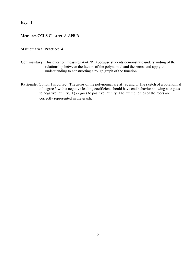**Key:** 1

## **Measures CCLS Cluster:** A-APR.B

### **Mathematical Practice:** 4

- **Commentary:** This question measures A-APR.B because students demonstrate understanding of the relationship between the factors of the polynomial and the zeros, and apply this understanding to constructing a rough graph of the function.
- **Rationale:** Option 1 is correct. The zeros of the polynomial are at −*b*, and *c*. The sketch of a polynomial of degree 3 with a negative leading coefficient should have end behavior showing as *x* goes to negative infinity,  $f(x)$  goes to positive infinity. The multiplicities of the roots are correctly represented in the graph.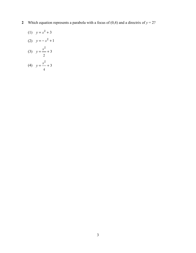**2** Which equation represents a parabola with a focus of  $(0,4)$  and a directrix of  $y = 2$ ?

(1) 
$$
y = x^2 + 3
$$
  
\n(2)  $y = -x^2 + 1$   
\n(3)  $y = \frac{x^2}{2} + 3$   
\n(4)  $y = \frac{x^2}{2} + 3$ 

4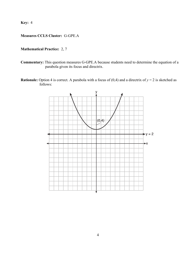**Key:** 4

## **Measures CCLS Cluster:** G-GPE.A

## **Mathematical Practice:** 2, 7

- **Commentary:** This question measures G-GPE.A because students need to determine the equation of a parabola given its focus and directrix.
- **Rationale:** Option 4 is correct. A parabola with a focus of  $(0,4)$  and a directrix of  $y = 2$  is sketched as follows:

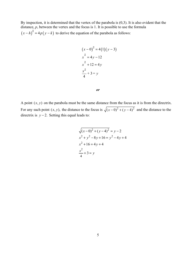By inspection, it is determined that the vertex of the parabola is (0,3). It is also evident that the distance, *p*, between the vertex and the focus is 1. It is possible to use the formula  $(x-h)^2 = 4p(y-k)$  to derive the equation of the parabola as follows:

$$
(x-0)2 = 4(1)(y-3)
$$
  
\n
$$
x2 = 4y-12
$$
  
\n
$$
x2 + 12 = 4y
$$
  
\n
$$
\frac{x2}{4} + 3 = y
$$

#### *or*

A point  $(x, y)$  on the parabola must be the same distance from the focus as it is from the directrix. For any such point  $(x, y)$ , the distance to the focus is  $\sqrt{(x-0)^2 + (y-4)^2}$  and the distance to the directrix is  $y - 2$ . Setting this equal leads to:

$$
\sqrt{(x-0)^2 + (y-4)^2} = y-2
$$
  
x<sup>2</sup> + y<sup>2</sup> - 8y + 16 = y<sup>2</sup> - 4y + 4  
x<sup>2</sup> + 16 = 4y + 4  

$$
\frac{x^2}{4} + 3 = y
$$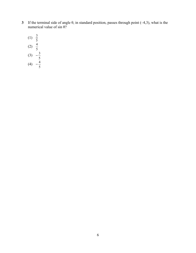**3** If the terminal side of angle θ, in standard position, passes through point (–4,3), what is the numerical value of sin θ?

(1) 
$$
\frac{3}{5}
$$
  
\n(2)  $\frac{4}{5}$   
\n(3)  $-\frac{3}{5}$   
\n(4)  $-\frac{4}{5}$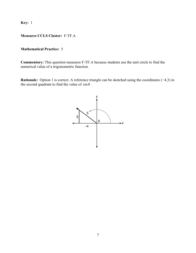**Key:** 1

### **Measures CCLS Cluster:** F-TF.A

### **Mathematical Practice:** 5

**Commentary:** This question measures F-TF.A because students use the unit circle to find the numerical value of a trigonometric function.

**Rationale:** Option 1 is correct. A reference triangle can be sketched using the coordinates (−4,3) in the second quadrant to find the value of  $\sin \theta$ .

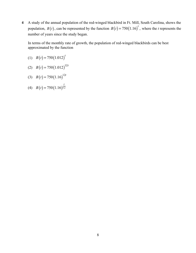**4** A study of the annual population of the red-winged blackbird in Ft. Mill, South Carolina, shows the population,  $B(t)$ , can be represented by the function  $B(t) = 750(1.16)^t$ , where the *t* represents the number of years since the study began.

In terms of the monthly rate of growth, the population of red-winged blackbirds can be best approximated by the function

$$
(1) \quad B(t) = 750(1.012)^t
$$

- (2)  $B(t) = 750(1.012)^{12t}$
- (3)  $B(t) = 750(1.16)^{12t}$
- (4)  $B(t) = 750(1.16)\overline{12}$ *t*  $B(t) =$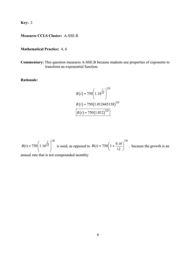**Key:** 2

## **Measures CCLS Cluster:** A-SSE.B

## **Mathematical Practice:** 4, 6

**Commentary:** This question measures A-SSE.B because students use properties of exponents to transform an exponential function.

**Rationale:**

$$
B(t) = 750 \left( 1.16^{\frac{1}{12}} \right)^{12t}
$$
  
\n
$$
B(t) = 750 \left( 1.012445138 \right)^{12t}
$$
  
\n
$$
B(t) = 750 \left( 1.012 \right)^{12t}
$$

$$
B(t) = 750 \left( 1.16^{\frac{1}{12}} \right)^{12t}
$$
 is used, as opposed to  $B(t) = 750 \left( 1 + \frac{0.16}{12} \right)^{12t}$ , because the growth is an annual rate that is not compounded monthly.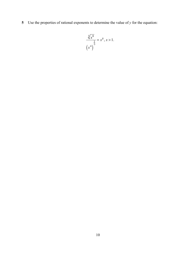**5** Use the properties of rational exponents to determine the value of *y* for the equation:

$$
\frac{\sqrt[3]{x^8}}{\left(x^4\right)^{\frac{1}{3}}} = x^y, x > 1.
$$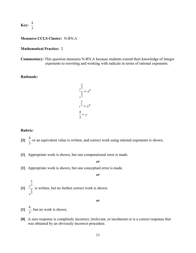$$
Key: \frac{4}{3}
$$

#### **Measures CCLS Cluster:** N-RN.A

#### **Mathematical Practice:** 2

**Commentary:** This question measures N-RN.A because students extend their knowledge of integer exponents to rewriting and working with radicals in terms of rational exponents.

#### **Rationale:**

$$
\frac{x^{\frac{8}{3}}}{x^{\frac{4}{3}}} = x^y
$$

$$
\frac{x^{\frac{4}{3}}}{x^{\frac{4}{3}}} = x^y
$$

$$
\frac{4}{3} = y
$$

#### **Rubric:**

8

- $[2] \frac{4}{7}$ 3 or an equivalent value is written, and correct work using rational exponents is shown.
- **[1]** Appropriate work is shown, but one computational error is made.
	- *or*
- **[1]** Appropriate work is shown, but one conceptual error is made.

$$
\boldsymbol{\mathit{or}}
$$

 $\begin{bmatrix} 1 \end{bmatrix}$   $\frac{x}{x}$ *x* 3 4 3 is written, but no further correct work is shown.

- $[1] \frac{4}{1}$ 3 , but no work is shown.
- **[0]** A zero response is completely incorrect, irrelevant, or incoherent or is a correct response that was obtained by an obviously incorrect procedure.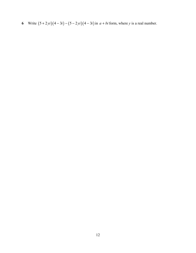**6** Write  $(5+2yi)(4-3i) - (5-2yi)(4-3i)$  in  $a + bi$  form, where *y* is a real number.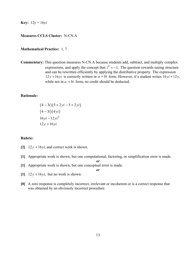**Key:**  $12y + 16yi$ 

### **Measures CCLS Cluster:** N-CN.A

#### **Mathematical Practice:** 1, 7

**Commentary:** This question measures N-CN.A because students add, subtract, and multiply complex expressions, and apply the concept that  $i^2 = -1$ . The question rewards seeing structure and can be rewritten efficiently by applying the distributive property. The expression  $12y + 16yi$  is correctly written in  $a + bi$  form. However, if a student writes  $16yi + 12y$ , while not in  $a + bi$  form, no credit should be deducted.

### **Rationale:**

$$
(4-3i)(5+2yi-5+2yi)(4-3i)(4yi)16yi-12yi212y+16yi
$$

#### **Rubric:**

- $[2]$  12  $y$  + 16  $yi$ , and correct work is shown.
- **[1]** Appropriate work is shown, but one computational, factoring, or simplification error is made. *or*

- **[1]** Appropriate work is shown, but one conceptual error is made.
- $[1]$  12y + 16yi, but no work is shown.
- **[0]** A zero response is completely incorrect, irrelevant or incoherent or is a correct response that was obtained by an obviously incorrect procedure.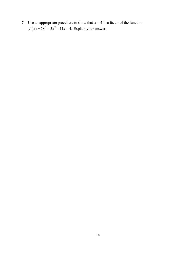**7** Use an appropriate procedure to show that  $x - 4$  is a factor of the function  $f(x) = 2x^3 - 5x^2 - 11x - 4$ . Explain your answer.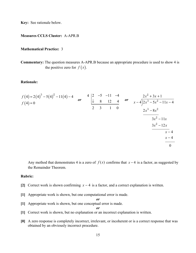**Key:** See rationale below.

#### **Measures CCLS Cluster:** A-APR.B

#### **Mathematical Practice:** 3

**Commentary:** The question measures A-APR.B because an appropriate procedure is used to show 4 is the positive zero for  $f(x)$ .

#### **Rationale:**

$$
f(4) = 2(4)^{3} - 5(4)^{2} - 11(4) - 4
$$
\n
$$
f(4) = 0
$$
\n
$$
f(4) = 0
$$
\n
$$
f(4) = 0
$$
\n
$$
f(4) = 0
$$
\n
$$
f(4) = 0
$$
\n
$$
f(4) = 0
$$
\n
$$
f(4) = 0
$$
\n
$$
f(4) = 0
$$
\n
$$
f(4) = 0
$$
\n
$$
f(4) = 0
$$
\n
$$
f(4) = 0
$$
\n
$$
f(4) = 0
$$
\n
$$
f(4) = 0
$$
\n
$$
f(4) = 0
$$
\n
$$
f(4) = 0
$$
\n
$$
f(4) = 0
$$
\n
$$
f(4) = 0
$$
\n
$$
f(4) = 0
$$
\n
$$
f(4) = 0
$$
\n
$$
f(4) = 0
$$
\n
$$
f(4) = 0
$$
\n
$$
f(4) = 0
$$
\n
$$
f(4) = 0
$$
\n
$$
f(4) = 0
$$
\n
$$
f(4) = 0
$$
\n
$$
f(4) = 0
$$
\n
$$
f(4) = 0
$$
\n
$$
f(4) = 0
$$
\n
$$
f(4) = 0
$$
\n
$$
f(4) = 0
$$
\n
$$
f(4) = 0
$$
\n
$$
f(4) = 0
$$
\n
$$
f(4) = 0
$$
\n
$$
f(4) = 0
$$
\n
$$
f(4) = 0
$$
\n
$$
f(4) = 0
$$
\n
$$
f(4) = 0
$$
\n
$$
f(4) = 0
$$
\n
$$
f(4) = 0
$$
\n
$$
f(4) = 0
$$
\n
$$
f(4) = 0
$$
\n
$$
f(4) = 0
$$
\n
$$
f(4
$$

Any method that demonstrates 4 is a zero of  $f(x)$  confirms that  $x - 4$  is a factor, as suggested by the Remainder Theorem.

#### **Rubric:**

- **[2]** Correct work is shown confirming  $x 4$  is a factor, and a correct explanation is written.
- **[1]** Appropriate work is shown, but one computational error is made.

*or*

**[1]** Appropriate work is shown, but one conceptual error is made.

- **[1]** Correct work is shown, but no explanation or an incorrect explanation is written.
- **[0]** A zero response is completely incorrect, irrelevant, or incoherent or is a correct response that was obtained by an obviously incorrect procedure.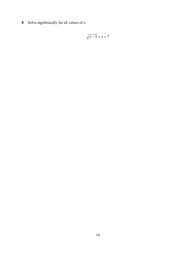Solve algebraically for all values of *x*:

$$
\sqrt{x-5} + x = 7
$$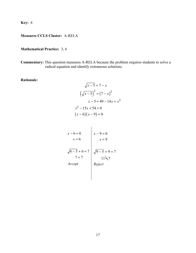**Key:** 6

## **Measures CCLS Cluster:** A-REI.A

## **Mathematical Practice:** 3, 6

**Commentary:** This question measures A-REI.A because the problem requires students to solve a radical equation and identify extraneous solutions.

**Rationale:**

$$
\sqrt{x-5} = 7 - x
$$

$$
(\sqrt{x-5})^2 = (7 - x)^2
$$

$$
x - 5 = 49 - 14x + x^2
$$

$$
x^2 - 15x + 54 = 0
$$

$$
(x - 6)(x - 9) = 0
$$

$$
x-6=0
$$
  
\n
$$
x = 6
$$
  
\n
$$
\sqrt{6-5}+6=7
$$
  
\n
$$
7=7
$$
  
\n
$$
11 \le 7
$$
  
\nAccept  
\n
$$
Reject
$$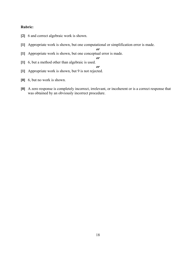### **Rubric:**

- **[2]** 6 and correct algebraic work is shown.
- **[1]** Appropriate work is shown, but one computational or simplification error is made.
- **[1]** Appropriate work is shown, but one conceptual error is made.

*or*

- **[1]** 6, but a method other than algebraic is used. *or*
- **[1]** Appropriate work is shown, but 9 is not rejected.
- **[0]** 6, but no work is shown.
- **[0]** A zero response is completely incorrect, irrelevant, or incoherent or is a correct response that was obtained by an obviously incorrect procedure.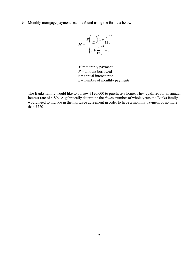**9** Monthly mortgage payments can be found using the formula below:

$$
M = \frac{P\left(\frac{r}{12}\right)\left(1 + \frac{r}{12}\right)^n}{\left(1 + \frac{r}{12}\right)^n - 1}
$$

 $M$  = monthly payment *P* = amount borrowed  $r =$  annual interest rate  $n =$  number of monthly payments

The Banks family would like to borrow \$120,000 to purchase a home. They qualified for an annual interest rate of 4.8%. Algebraically determine the *fewest* number of whole years the Banks family would need to include in the mortgage agreement in order to have a monthly payment of no more than \$720.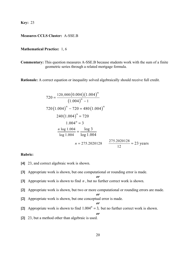**Key:** 23

### **Measures CCLS Cluster:** A-SSE.B

#### **Mathematical Practice:** 1, 6

**Commentary:** This question measures A-SSE.B because students work with the sum of a finite geometric series through a related mortgage formula.

**Rationale:** A correct equation or inequality solved algebraically should receive full credit.

$$
720 = \frac{120,000(0.004)(1.004)^n}{(1.004)^n - 1}
$$
  

$$
720(1.004)^n - 720 = 480(1.004)^n
$$
  

$$
240(1.004)^n = 720
$$
  

$$
1.004^n = 3
$$
  

$$
\frac{n \log 1.004}{\log 1.004} = \frac{\log 3}{\log 1.004}
$$
  

$$
n = 275.2020128 \qquad \frac{275.2020128}{12} \approx 23 \text{ years}
$$

#### **Rubric:**

- **[4]** 23, and correct algebraic work is shown.
- **[3]** Appropriate work is shown, but one computational or rounding error is made.

$$
\boldsymbol{\mathit{or}}
$$

- **[3]** Appropriate work is shown to find *n* , but no further correct work is shown.
- **[2]** Appropriate work is shown, but two or more computational or rounding errors are made.

#### *or*

*or*

- **[2]** Appropriate work is shown, but one conceptual error is made.
- [2] Appropriate work is shown to find  $1.004<sup>n</sup> = 3$ , but no further correct work is shown.

*or*

**[2]** 23, but a method other than algebraic is used.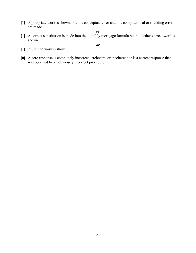**[1]** Appropriate work is shown, but one conceptual error and one computational or rounding error are made.

*or*

**[1]** A correct substitution is made into the monthly mortgage formula but no further correct word is shown.

- **[1]** 23, but no work is shown.
- **[0]** A zero response is completely incorrect, irrelevant, or incoherent or is a correct response that was obtained by an obviously incorrect procedure.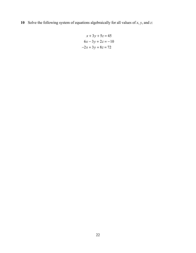**10** Solve the following system of equations algebraically for all values of *x*, *y*, and *z*:

$$
x + 3y + 5z = 45
$$
  

$$
6x - 3y + 2z = -10
$$
  

$$
-2x + 3y + 8z = 72
$$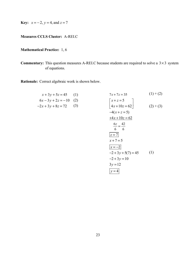**Key:**  $x = -2$ ,  $y = 4$ , and  $z = 7$ 

## **Measures CCLS Cluster:** A-REI.C

## **Mathematical Practice:** 1, 6

**Commentary:** This question measures A-REI.C because students are required to solve a  $3 \times 3$  system of equations.

**Rationale:** Correct algebraic work is shown below.

$$
x + 3y + 5z = 45
$$
 (1)  
\n
$$
6x - 3y + 2z = -10
$$
 (2)  
\n
$$
-2x + 3y + 8z = 72
$$
 (3)  
\n
$$
x + z = 5
$$
  
\n
$$
-4(x + z = 5)
$$
  
\n
$$
\frac{6z}{6} = \frac{42}{6}
$$
  
\n
$$
\frac{z = 7}{x + 7} = 5
$$
  
\n
$$
\frac{x = -2}{-2 + 3y + 5(7)} = 45
$$
 (1)  
\n
$$
3y = 12
$$
 (1)  
\n
$$
y = 4
$$
 (2) + (3)  
\n
$$
y = 4
$$
 (3)  
\n
$$
y = 4
$$
 (4)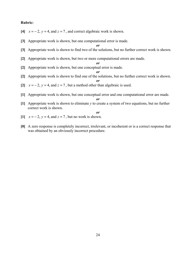#### **Rubric:**

- [4]  $x = -2$ ,  $y = 4$ , and  $z = 7$ , and correct algebraic work is shown.
- **[3]** Appropriate work is shown, but one computational error is made.

*or*

- **[3]** Appropriate work is shown to find two of the solutions, but no further correct work is shown.
- **[2]** Appropriate work is shown, but two or more computational errors are made.

*or*

- **[2]** Appropriate work is shown, but one conceptual error is made.
	- *or*

*or*

- **[2]** Appropriate work is shown to find one of the solutions, but no further correct work is shown.
- [2]  $x = -2$ ,  $y = 4$ , and  $z = 7$ , but a method other than algebraic is used.
- **[1]** Appropriate work is shown, but one conceptual error and one computational error are made.

- **[1]** Appropriate work is shown to eliminate *y* to create a system of two equations, but no further correct work is shown.
- $[1]$   $x = -2$ ,  $y = 4$ , and  $z = 7$ , but no work is shown.
- **[0]** A zero response is completely incorrect, irrelevant, or incoherent or is a correct response that was obtained by an obviously incorrect procedure.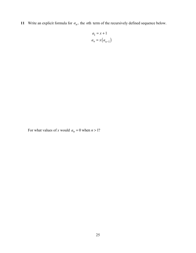**11** Write an explicit formula for  $a_n$ , the *n*th term of the recursively defined sequence below.

$$
a_1 = x + 1
$$

$$
a_n = x(a_{n-1})
$$

For what values of *x* would  $a_n = 0$  when  $n > 1$ ?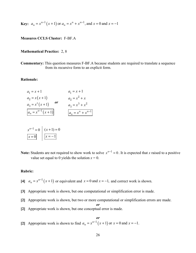**Key:** 
$$
a_n = x^{n-1}(x+1)
$$
 or  $a_n = x^n + x^{n-1}$ , and  $x = 0$  and  $x = -1$ 

#### **Measures CCLS Cluster:** F-BF.A

#### **Mathematical Practice:** 2, 8

**Commentary:** This question measures F-BF.A because students are required to translate a sequence from its recursive form to an explicit form.

#### **Rationale:**

$$
a_1 = x + 1
$$
  
\n
$$
a_2 = x(x + 1)
$$
  
\n
$$
a_3 = x^2(x + 1)
$$
  
\n
$$
a_4 = x^2 + x
$$
  
\n
$$
a_3 = x^2 + x^2
$$
  
\n
$$
a_4 = x^2 + x^2
$$
  
\n
$$
a_5 = x^3 + x^2
$$
  
\n
$$
a_n = x^{n-1}(x + 1)
$$
  
\n
$$
a_n = x^n + x^{n-1}
$$

$$
\begin{array}{c|c} x^{n-1} = 0 & (x+1) = 0 \\ \hline x = 0 & x = -1 \end{array}
$$

**Note:** Students are not required to show work to solve  $x^{n-1} = 0$ . It is expected that *x* raised to a positive value set equal to 0 yields the solution  $x = 0$ .

#### **Rubric:**

- [4]  $a_n = x^{n-1}(x+1)$  or equivalent and  $x = 0$  and  $x = -1$ , and correct work is shown.
- **[3]** Appropriate work is shown, but one computational or simplification error is made.
- **[2]** Appropriate work is shown, but two or more computational or simplification errors are made.
- *or* **[2]** Appropriate work is shown, but one conceptual error is made.
- *or* [2] Appropriate work is shown to find  $a_n = x^{n-1}(x+1)$  or  $x = 0$  and  $x = -1$ .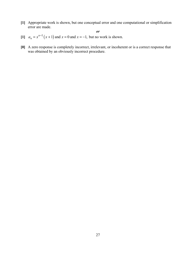- **[1]** Appropriate work is shown, but one conceptual error and one computational or simplification error are made.
	- *or*
- [1]  $a_n = x^{n-1}(x+1)$  and  $x = 0$  and  $x = -1$ , but no work is shown.
- **[0]** A zero response is completely incorrect, irrelevant, or incoherent or is a correct response that was obtained by an obviously incorrect procedure.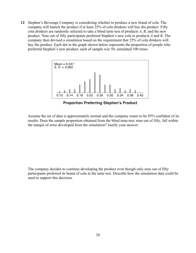**12** Stephen's Beverage Company is considering whether to produce a new brand of cola. The company will launch the product if at least 25% of cola drinkers will buy the product. Fifty cola drinkers are randomly selected to take a blind taste-test of products *A*, *B*, and the new product. Nine out of fifty participants preferred Stephen's new cola to products *A* and *B*. The company then devised a simulation based on the requirement that 25% of cola drinkers will buy the product. Each dot in the graph shown below represents the proportion of people who preferred Stephen's new product, each of sample size 50, simulated 100 times.



**Proportion Preferring Stephen's Product** 

Assume the set of data is approximately normal and the company wants to be 95% confident of its results. Does the sample proportion obtained from the blind taste-test, nine out of fifty, fall within the margin of error developed from the simulation? Justify your answer.

The company decides to continue developing the product even though only nine out of fifty participants preferred its brand of cola in the taste-test. Describe how the simulation data could be used to support this decision.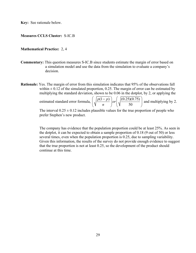**Key:** See rationale below.

#### **Measures CCLS Cluster:** S-IC.B

#### **Mathematical Practice:** 2, 4

**Commentary:** This question measures S-IC.B since students estimate the margin of error based on a simulation model and use the data from the simulation to evaluate a company's decision.

**Rationale:** Yes. The margin of error from this simulation indicates that 95% of the observations fall within  $\pm$  0.12 of the simulated proportion, 0.25. The margin of error can be estimated by multiplying the standard deviation, shown to be 0.06 in the dotplot, by 2, or applying the

> estimated standard error formula,  $\int_{0}^{1} \sqrt{\frac{p(1-p)}{p(1-p)}}$  or  $\int_{0}^{1} \sqrt{\frac{(0.25)(0.75)}{p(1-p)}}$ 50  $\frac{p(1-p)}{p}$  $\left(\sqrt{\frac{p(1-p)}{n}}\right)$ or $\left(\sqrt{\frac{(0.25)(0.75)}{50}}\right)$ and multiplying by 2.

The interval  $0.25 \pm 0.12$  includes plausible values for the true proportion of people who prefer Stephen's new product.

The company has evidence that the population proportion could be at least 25%. As seen in the dotplot, it can be expected to obtain a sample proportion of 0.18 (9 out of 50) or less several times, even when the population proportion is 0.25, due to sampling variability. Given this information, the results of the survey do not provide enough evidence to suggest that the true proportion is not at least 0.25, so the development of the product should continue at this time.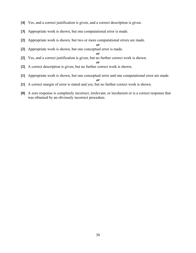- **[4]** Yes, and a correct justification is given, and a correct description is given.
- **[3]** Appropriate work is shown, but one computational error is made.
- **[2]** Appropriate work is shown, but two or more computational errors are made.

*or*

**[2]** Appropriate work is shown, but one conceptual error is made.

*or*

*or*

- **[2]** Yes, and a correct justification is given, but no further correct work is shown.
- **[2]** A correct description is given, but no further correct work is shown.
- **[1]** Appropriate work is shown, but one conceptual error and one computational error are made.

- **[1]** A correct margin of error is stated and yes, but no further correct work is shown.
- **[0]** A zero response is completely incorrect, irrelevant, or incoherent or is a correct response that was obtained by an obviously incorrect procedure.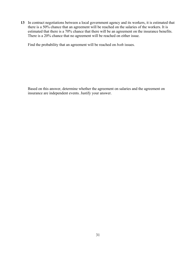**13** In contract negotiations between a local government agency and its workers, it is estimated that there is a 50% chance that an agreement will be reached on the salaries of the workers. It is estimated that there is a 70% chance that there will be an agreement on the insurance benefits. There is a 20% chance that no agreement will be reached on either issue.

Find the probability that an agreement will be reached on *both* issues.

Based on this answer, determine whether the agreement on salaries and the agreement on insurance are independent events. Justify your answer.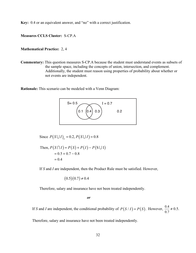**Key:** 0.4 or an equivalent answer, and "no" with a correct justification.

**Measures CCLS Cluster:** S-CP.A

#### **Mathematical Practice:** 2, 4

**Commentary:** This question measures S-CP.A because the student must understand events as subsets of the sample space, including the concepts of union, intersection, and complement. Additionally, the student must reason using properties of probability about whether or not events are independent.

**Rationale:** This scenario can be modeled with a Venn Diagram:



Since  $P(S \cup I)_c = 0.2, P(S \cup I) = 0.8$ 

Then, 
$$
P(S \cap I) = P(S) + P(I) - P(S \cup I)
$$
  
= 0.5 + 0.7 - 0.8  
= 0.4

If *S* and *I* are independent, then the Product Rule must be satisfied. However,

$$
(0.5)(0.7) \neq 0.4
$$

Therefore, salary and insurance have not been treated independently.

*or*

If *S* and *I* are independent, the conditional probability of  $P(S/I) = P(S)$ . However,  $\frac{0.4}{0.7}$  $\neq$  0.5.

Therefore, salary and insurance have not been treated independently.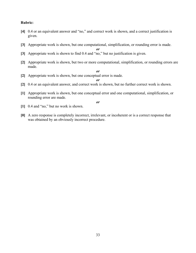#### **Rubric:**

- **[4]** 0.4 or an equivalent answer and "no," and correct work is shown, and a correct justification is given.
- **[3]** Appropriate work is shown, but one computational, simplification, or rounding error is made. *or*

**[3]** Appropriate work is shown to find 0.4 and "no," but no justification is given.

- **[2]** Appropriate work is shown, but two or more computational, simplification, or rounding errors are made.
	- *or*
- **[2]** Appropriate work is shown, but one conceptual error is made.

*or*

- **[2]** 0.4 or an equivalent answer, and correct work is shown, but no further correct work is shown.
- **[1]** Appropriate work is shown, but one conceptual error and one computational, simplification, or rounding error are made.

- **[1]** 0.4 and "no," but no work is shown.
- **[0]** A zero response is completely incorrect, irrelevant, or incoherent or is a correct response that was obtained by an obviously incorrect procedure.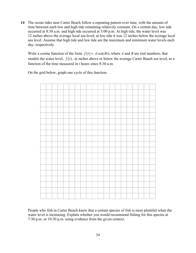**14** The ocean tides near Carter Beach follow a repeating pattern over time, with the amount of time between each low and high tide remaining relatively constant. On a certain day, low tide occurred at 8:30 a.m. and high tide occurred at 3:00 p.m. At high tide, the water level was 12 inches above the average local sea level; at low tide it was 12 inches below the average local sea level. Assume that high tide and low tide are the maximum and minimum water levels each day, respectively.

Write a cosine function of the form  $f(t) = A \cos(Bt)$ , where *A* and *B* are real numbers, that models the water level,  $f(t)$ , in inches above or below the average Carter Beach sea level, as a function of the time measured in *t* hours since 8:30 a.m.

On the grid below, graph one cycle of this function.



People who fish in Carter Beach know that a certain species of fish is most plentiful when the water level is increasing. Explain whether you would recommend fishing for this species at 7:30 p.m. or 10:30 p.m. using evidence from the given context.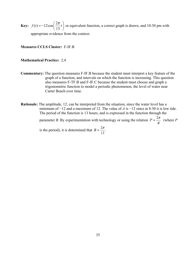**Key:**  $f(t) = -12\cos\left(\frac{2\pi}{13}t\right)$  or equivalent function, a correct graph is drawn, and 10:30 pm with appropriate evidence from the context.

#### **Measures CCLS Cluster:** F-IF.B

#### **Mathematical Practice:** 2,4

- **Commentary:** The question measures F-IF.B because the student must interpret a key feature of the graph of a function, and intervals on which the function is increasing. This question also measures F-TF.B and F-IF.C because the student must choose and graph a trigonometric function to model a periodic phenomenon, the level of water near Carter Beach over time.
- **Rationale:** The amplitude, 12, can be interpreted from the situation, since the water level has a minimum of −12 and a maximum of 12. The value of *A* is −12 since at 8:30 it is low tide. The period of the function is 13 hours, and is expressed in the function through the parameter *B*. By experimentation with technology or using the relation  $P = \frac{2}{3}$ *B*  $P = \frac{2\pi}{I}$  (where *P*

is the period), it is determined that  $B = \frac{2}{x}$ 13  $B=\frac{2\pi}{\pi}$ .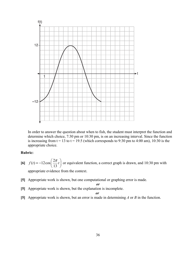

 In order to answer the question about when to fish, the student must interpret the function and determine which choice, 7:30 pm or 10:30 pm, is on an increasing interval. Since the function is increasing from  $t = 13$  to  $t = 19.5$  (which corresponds to 9:30 pm to 4:00 am), 10:30 is the appropriate choice.

#### **Rubric:**

- **[6]**  $f(t) = -12\cos\left(\frac{2\pi}{13}t\right)$  or equivalent function, a correct graph is drawn, and 10:30 pm with appropriate evidence from the context.
- **[5]** Appropriate work is shown, but one computational or graphing error is made.

$$
\overline{or}
$$

**[5]** Appropriate work is shown, but the explanation is incomplete.

#### *or*

**[5]** Appropriate work is shown, but an error is made in determining *A* or *B* in the function.